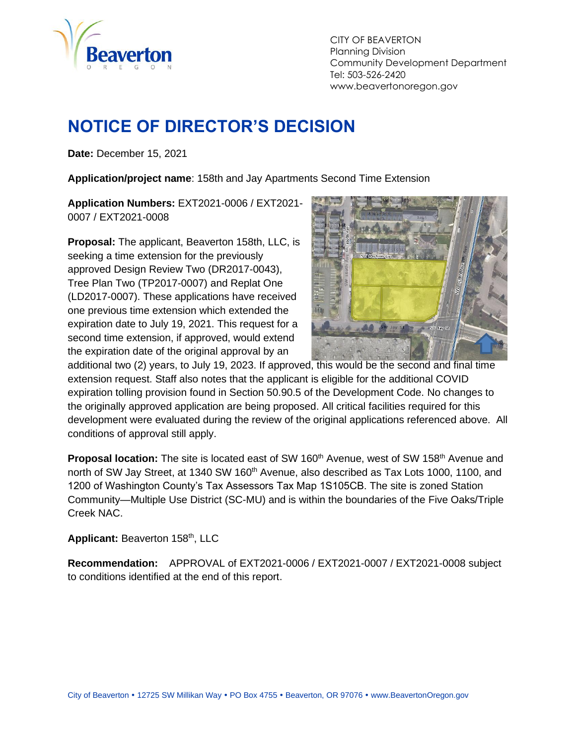

CITY OF BEAVERTON Planning Division Community Development Department Tel: 503-526-2420 www.beavertonoregon.gov

# <span id="page-0-0"></span>**NOTICE OF DIRECTOR'S DECISION**

**Date:** December 15, 2021

**Application/project name**: 158th and Jay Apartments Second Time Extension

**Application Numbers:** EXT2021-0006 / EXT2021- 0007 / EXT2021-0008

**Proposal:** The applicant, Beaverton 158th, LLC, is seeking a time extension for the previously approved Design Review Two (DR2017-0043), Tree Plan Two (TP2017-0007) and Replat One (LD2017-0007). These applications have received one previous time extension which extended the expiration date to July 19, 2021. This request for a second time extension, if approved, would extend the expiration date of the original approval by an



additional two (2) years, to July 19, 2023. If approved, this would be the second and final time extension request. Staff also notes that the applicant is eligible for the additional COVID expiration tolling provision found in Section 50.90.5 of the Development Code. No changes to the originally approved application are being proposed. All critical facilities required for this development were evaluated during the review of the original applications referenced above. All conditions of approval still apply.

**Proposal location:** The site is located east of SW 160<sup>th</sup> Avenue, west of SW 158<sup>th</sup> Avenue and north of SW Jay Street, at 1340 SW 160<sup>th</sup> Avenue, also described as Tax Lots 1000, 1100, and 1200 of Washington County's Tax Assessors Tax Map 1S105CB. The site is zoned Station Community—Multiple Use District (SC-MU) and is within the boundaries of the Five Oaks/Triple Creek NAC.

**Applicant:** Beaverton 158th, LLC

**Recommendation:** APPROVAL of EXT2021-0006 / EXT2021-0007 / EXT2021-0008 subject to conditions identified at the end of this report.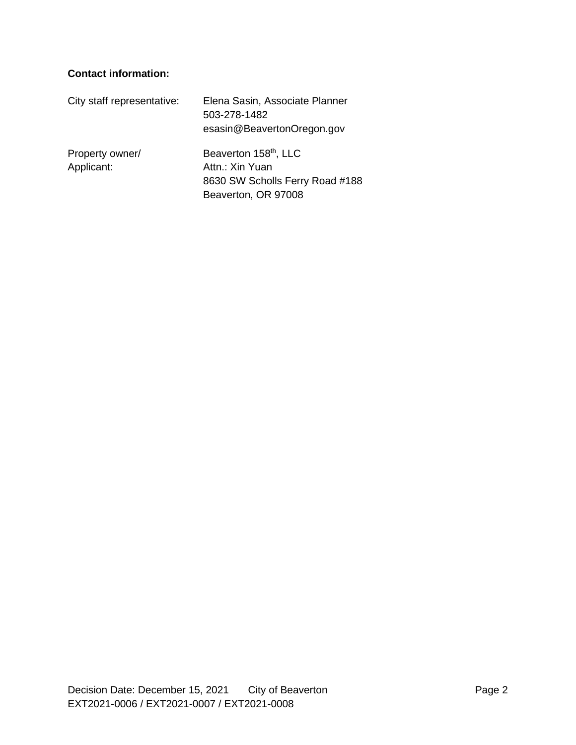#### **Contact information:**

| City staff representative:    | Elena Sasin, Associate Planner<br>503-278-1482<br>esasin@BeavertonOregon.gov                                   |
|-------------------------------|----------------------------------------------------------------------------------------------------------------|
| Property owner/<br>Applicant: | Beaverton 158 <sup>th</sup> , LLC<br>Attn.: Xin Yuan<br>8630 SW Scholls Ferry Road #188<br>Beaverton, OR 97008 |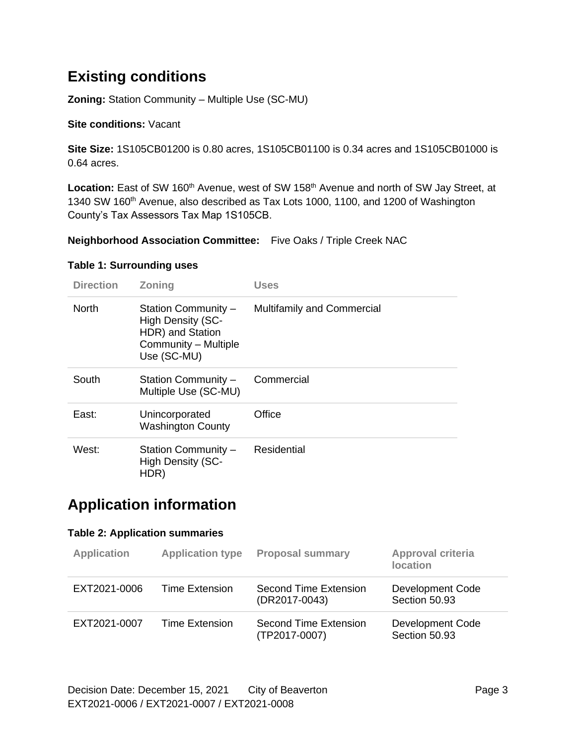## **Existing conditions**

**Zoning:** Station Community – Multiple Use (SC-MU)

#### **Site conditions:** Vacant

**Site Size:** 1S105CB01200 is 0.80 acres, 1S105CB01100 is 0.34 acres and 1S105CB01000 is 0.64 acres.

Location: East of SW 160<sup>th</sup> Avenue, west of SW 158<sup>th</sup> Avenue and north of SW Jay Street, at 1340 SW 160th Avenue, also described as Tax Lots 1000, 1100, and 1200 of Washington County's Tax Assessors Tax Map 1S105CB.

#### **Neighborhood Association Committee:** Five Oaks / Triple Creek NAC

#### **Table 1: Surrounding uses**

| <b>Direction</b> | <b>Zoning</b>                                                                                       | <b>Uses</b>                       |
|------------------|-----------------------------------------------------------------------------------------------------|-----------------------------------|
| <b>North</b>     | Station Community -<br>High Density (SC-<br>HDR) and Station<br>Community - Multiple<br>Use (SC-MU) | <b>Multifamily and Commercial</b> |
| South            | Station Community -<br>Multiple Use (SC-MU)                                                         | Commercial                        |
| East:            | Unincorporated<br><b>Washington County</b>                                                          | Office                            |
| West:            | Station Community -<br><b>High Density (SC-</b><br>HDR)                                             | Residential                       |

### **Application information**

#### **Table 2: Application summaries**

| <b>Application</b> | <b>Application type</b> | <b>Proposal summary</b>                | <b>Approval criteria</b><br><b>location</b> |
|--------------------|-------------------------|----------------------------------------|---------------------------------------------|
| EXT2021-0006       | Time Extension          | Second Time Extension<br>(DR2017-0043) | Development Code<br>Section 50.93           |
| EXT2021-0007       | <b>Time Extension</b>   | Second Time Extension<br>(TP2017-0007) | Development Code<br>Section 50.93           |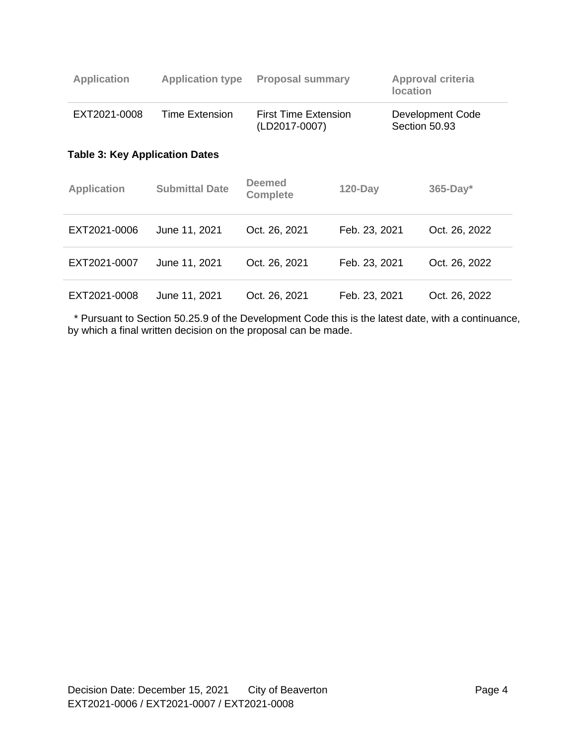| <b>Application</b>                    | <b>Application type</b> | <b>Proposal summary</b>               |               | <b>location</b> | <b>Approval criteria</b>          |  |
|---------------------------------------|-------------------------|---------------------------------------|---------------|-----------------|-----------------------------------|--|
| EXT2021-0008                          | Time Extension          | First Time Extension<br>(LD2017-0007) |               |                 | Development Code<br>Section 50.93 |  |
| <b>Table 3: Key Application Dates</b> |                         |                                       |               |                 |                                   |  |
| <b>Application</b>                    | <b>Submittal Date</b>   | <b>Deemed</b><br><b>Complete</b>      | $120 - Day$   |                 | $365$ -Day*                       |  |
| EXT2021-0006                          | June 11, 2021           | Oct. 26, 2021                         | Feb. 23, 2021 |                 | Oct. 26, 2022                     |  |
| EXT2021-0007                          | June 11, 2021           | Oct. 26, 2021                         | Feb. 23, 2021 |                 | Oct. 26, 2022                     |  |
| EXT2021-0008                          | June 11, 2021           | Oct. 26, 2021                         | Feb. 23, 2021 |                 | Oct. 26, 2022                     |  |

 \* Pursuant to Section 50.25.9 of the Development Code this is the latest date, with a continuance, by which a final written decision on the proposal can be made.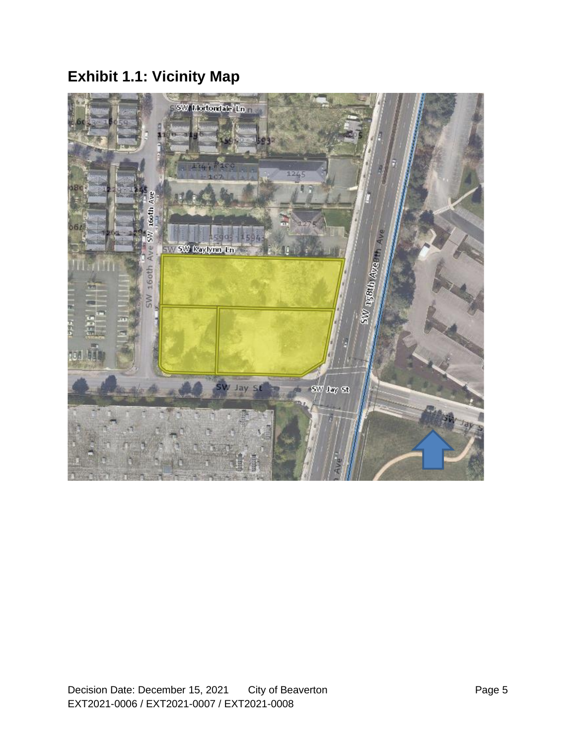# **Exhibit 1.1: Vicinity Map**

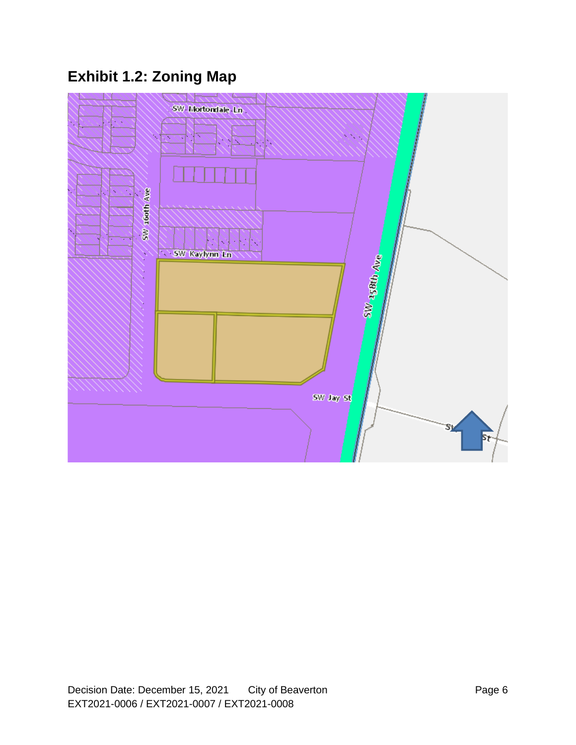# **Exhibit 1.2: Zoning Map**

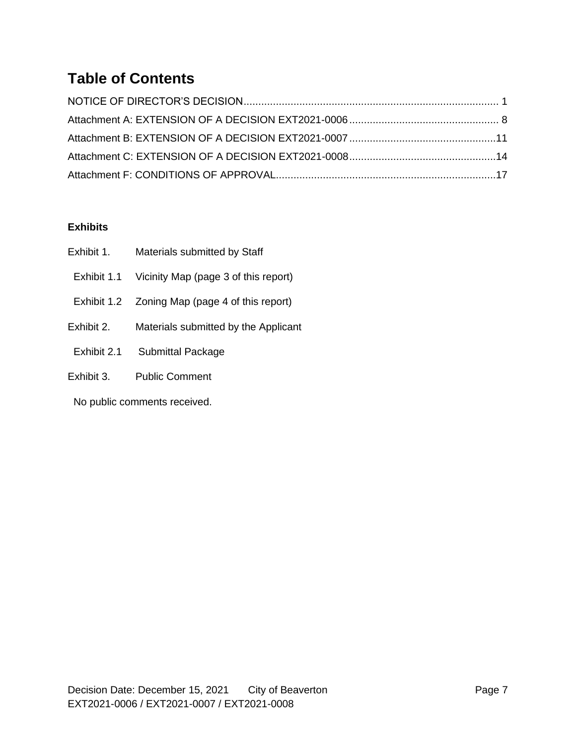## **Table of Contents**

#### **Exhibits**

| Exhibit 1.  | Materials submitted by Staff                    |
|-------------|-------------------------------------------------|
| Exhibit 1.1 | Vicinity Map (page 3 of this report)            |
|             | Exhibit 1.2  Zoning Map (page 4 of this report) |
| Exhibit 2.  | Materials submitted by the Applicant            |
| Exhibit 2.1 | <b>Submittal Package</b>                        |
| Exhibit 3.  | <b>Public Comment</b>                           |

No public comments received.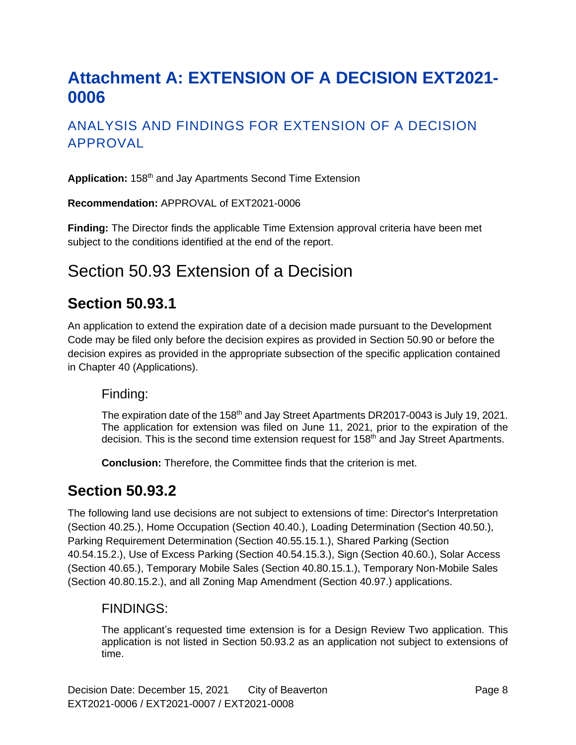# <span id="page-7-0"></span>**Attachment A: EXTENSION OF A DECISION EXT2021- 0006**

### ANALYSIS AND FINDINGS FOR EXTENSION OF A DECISION APPROVAL

Application: 158<sup>th</sup> and Jay Apartments Second Time Extension

**Recommendation:** APPROVAL of EXT2021-0006

**Finding:** The Director finds the applicable Time Extension approval criteria have been met subject to the conditions identified at the end of the report.

## Section 50.93 Extension of a Decision

### **Section 50.93.1**

An application to extend the expiration date of a decision made pursuant to the Development Code may be filed only before the decision expires as provided in Section 50.90 or before the decision expires as provided in the appropriate subsection of the specific application contained in Chapter 40 (Applications).

#### Finding:

The expiration date of the 158<sup>th</sup> and Jay Street Apartments DR2017-0043 is July 19, 2021. The application for extension was filed on June 11, 2021, prior to the expiration of the decision. This is the second time extension request for 158<sup>th</sup> and Jay Street Apartments.

**Conclusion:** Therefore, the Committee finds that the criterion is met.

### **Section 50.93.2**

The following land use decisions are not subject to extensions of time: Director's Interpretation (Section 40.25.), Home Occupation (Section 40.40.), Loading Determination (Section 40.50.), Parking Requirement Determination (Section 40.55.15.1.), Shared Parking (Section 40.54.15.2.), Use of Excess Parking (Section 40.54.15.3.), Sign (Section 40.60.), Solar Access (Section 40.65.), Temporary Mobile Sales (Section 40.80.15.1.), Temporary Non-Mobile Sales (Section 40.80.15.2.), and all Zoning Map Amendment (Section 40.97.) applications.

#### FINDINGS:

The applicant's requested time extension is for a Design Review Two application. This application is not listed in Section 50.93.2 as an application not subject to extensions of time.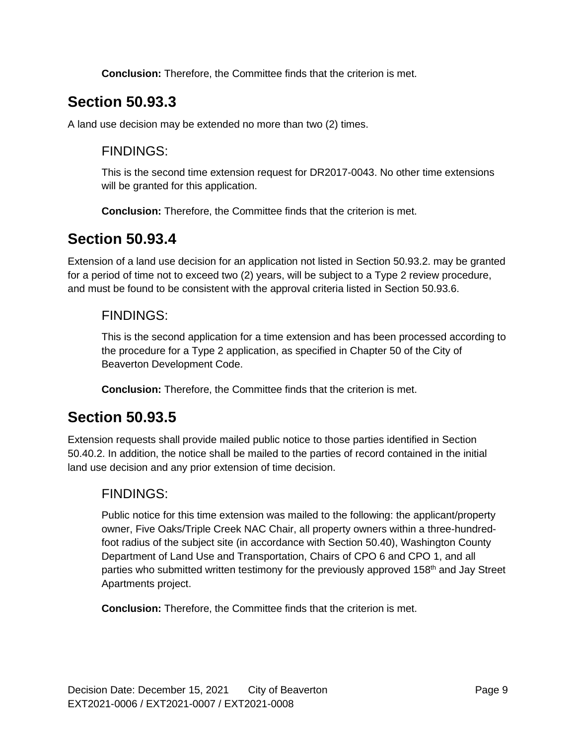**Conclusion:** Therefore, the Committee finds that the criterion is met.

## **Section 50.93.3**

A land use decision may be extended no more than two (2) times.

### FINDINGS:

This is the second time extension request for DR2017-0043. No other time extensions will be granted for this application.

**Conclusion:** Therefore, the Committee finds that the criterion is met.

### **Section 50.93.4**

Extension of a land use decision for an application not listed in Section 50.93.2. may be granted for a period of time not to exceed two (2) years, will be subject to a Type 2 review procedure, and must be found to be consistent with the approval criteria listed in Section 50.93.6.

### FINDINGS:

This is the second application for a time extension and has been processed according to the procedure for a Type 2 application, as specified in Chapter 50 of the City of Beaverton Development Code.

**Conclusion:** Therefore, the Committee finds that the criterion is met.

### **Section 50.93.5**

Extension requests shall provide mailed public notice to those parties identified in Section 50.40.2. In addition, the notice shall be mailed to the parties of record contained in the initial land use decision and any prior extension of time decision.

### FINDINGS:

Public notice for this time extension was mailed to the following: the applicant/property owner, Five Oaks/Triple Creek NAC Chair, all property owners within a three-hundredfoot radius of the subject site (in accordance with Section 50.40), Washington County Department of Land Use and Transportation, Chairs of CPO 6 and CPO 1, and all parties who submitted written testimony for the previously approved 158<sup>th</sup> and Jay Street Apartments project.

**Conclusion:** Therefore, the Committee finds that the criterion is met.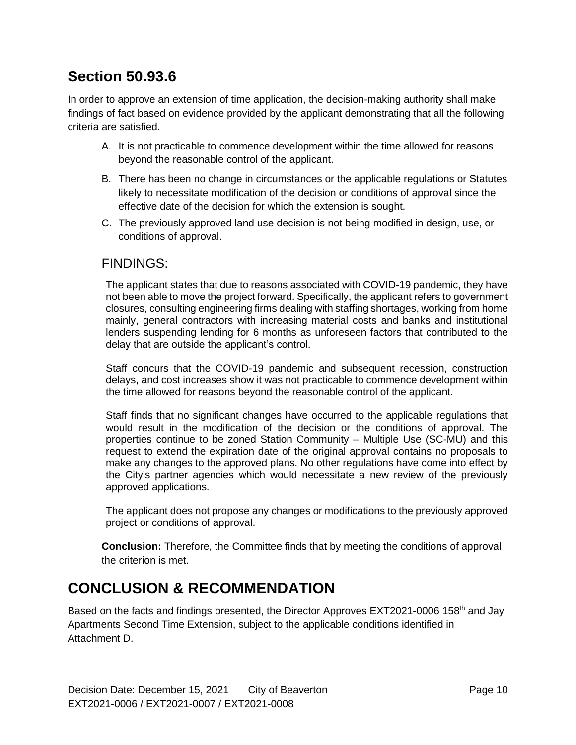## **Section 50.93.6**

In order to approve an extension of time application, the decision-making authority shall make findings of fact based on evidence provided by the applicant demonstrating that all the following criteria are satisfied.

- A. It is not practicable to commence development within the time allowed for reasons beyond the reasonable control of the applicant.
- B. There has been no change in circumstances or the applicable regulations or Statutes likely to necessitate modification of the decision or conditions of approval since the effective date of the decision for which the extension is sought.
- C. The previously approved land use decision is not being modified in design, use, or conditions of approval.

#### FINDINGS:

The applicant states that due to reasons associated with COVID-19 pandemic, they have not been able to move the project forward. Specifically, the applicant refers to government closures, consulting engineering firms dealing with staffing shortages, working from home mainly, general contractors with increasing material costs and banks and institutional lenders suspending lending for 6 months as unforeseen factors that contributed to the delay that are outside the applicant's control.

Staff concurs that the COVID-19 pandemic and subsequent recession, construction delays, and cost increases show it was not practicable to commence development within the time allowed for reasons beyond the reasonable control of the applicant.

Staff finds that no significant changes have occurred to the applicable regulations that would result in the modification of the decision or the conditions of approval. The properties continue to be zoned Station Community – Multiple Use (SC-MU) and this request to extend the expiration date of the original approval contains no proposals to make any changes to the approved plans. No other regulations have come into effect by the City's partner agencies which would necessitate a new review of the previously approved applications.

The applicant does not propose any changes or modifications to the previously approved project or conditions of approval.

**Conclusion:** Therefore, the Committee finds that by meeting the conditions of approval the criterion is met.

## **CONCLUSION & RECOMMENDATION**

Based on the facts and findings presented, the Director Approves EXT2021-0006 158<sup>th</sup> and Jay Apartments Second Time Extension, subject to the applicable conditions identified in Attachment D.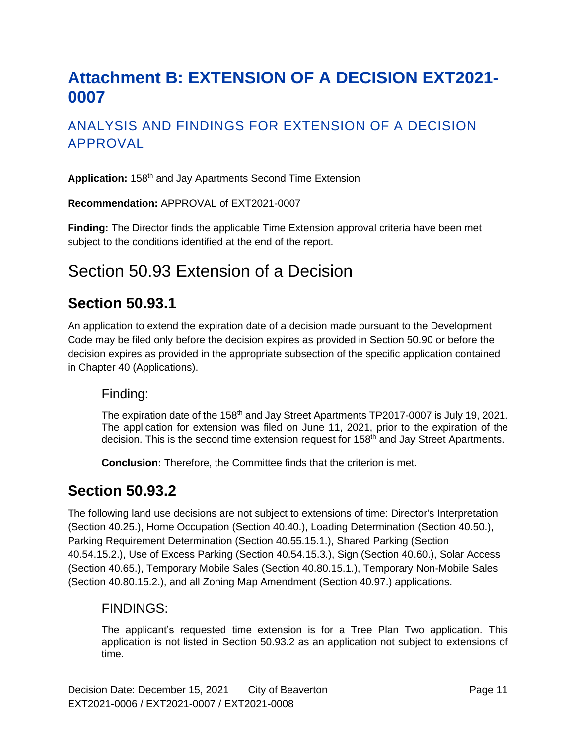# <span id="page-10-0"></span>**Attachment B: EXTENSION OF A DECISION EXT2021- 0007**

### ANALYSIS AND FINDINGS FOR EXTENSION OF A DECISION APPROVAL

**Application:** 158th and Jay Apartments Second Time Extension

**Recommendation:** APPROVAL of EXT2021-0007

**Finding:** The Director finds the applicable Time Extension approval criteria have been met subject to the conditions identified at the end of the report.

## Section 50.93 Extension of a Decision

### **Section 50.93.1**

An application to extend the expiration date of a decision made pursuant to the Development Code may be filed only before the decision expires as provided in Section 50.90 or before the decision expires as provided in the appropriate subsection of the specific application contained in Chapter 40 (Applications).

#### Finding:

The expiration date of the 158<sup>th</sup> and Jay Street Apartments TP2017-0007 is July 19, 2021. The application for extension was filed on June 11, 2021, prior to the expiration of the decision. This is the second time extension request for 158<sup>th</sup> and Jay Street Apartments.

**Conclusion:** Therefore, the Committee finds that the criterion is met.

### **Section 50.93.2**

The following land use decisions are not subject to extensions of time: Director's Interpretation (Section 40.25.), Home Occupation (Section 40.40.), Loading Determination (Section 40.50.), Parking Requirement Determination (Section 40.55.15.1.), Shared Parking (Section 40.54.15.2.), Use of Excess Parking (Section 40.54.15.3.), Sign (Section 40.60.), Solar Access (Section 40.65.), Temporary Mobile Sales (Section 40.80.15.1.), Temporary Non-Mobile Sales (Section 40.80.15.2.), and all Zoning Map Amendment (Section 40.97.) applications.

#### FINDINGS:

The applicant's requested time extension is for a Tree Plan Two application. This application is not listed in Section 50.93.2 as an application not subject to extensions of time.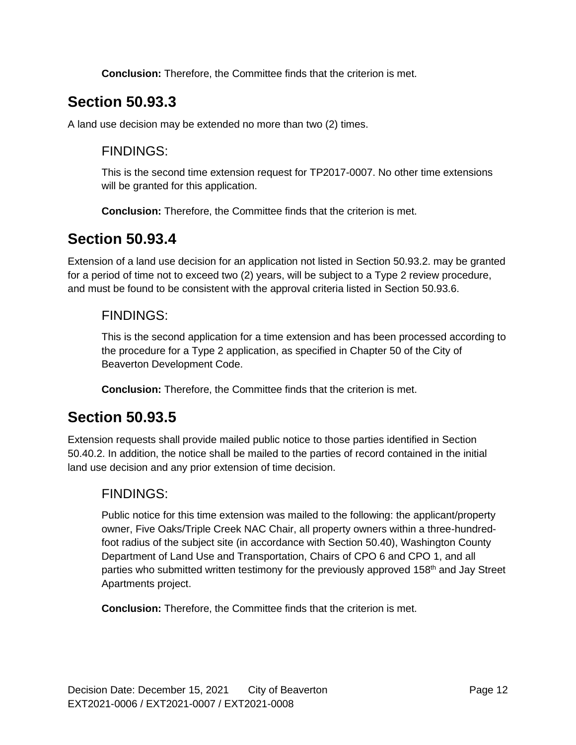**Conclusion:** Therefore, the Committee finds that the criterion is met.

## **Section 50.93.3**

A land use decision may be extended no more than two (2) times.

### FINDINGS:

This is the second time extension request for TP2017-0007. No other time extensions will be granted for this application.

**Conclusion:** Therefore, the Committee finds that the criterion is met.

### **Section 50.93.4**

Extension of a land use decision for an application not listed in Section 50.93.2. may be granted for a period of time not to exceed two (2) years, will be subject to a Type 2 review procedure, and must be found to be consistent with the approval criteria listed in Section 50.93.6.

### FINDINGS:

This is the second application for a time extension and has been processed according to the procedure for a Type 2 application, as specified in Chapter 50 of the City of Beaverton Development Code.

**Conclusion:** Therefore, the Committee finds that the criterion is met.

### **Section 50.93.5**

Extension requests shall provide mailed public notice to those parties identified in Section 50.40.2. In addition, the notice shall be mailed to the parties of record contained in the initial land use decision and any prior extension of time decision.

### FINDINGS:

Public notice for this time extension was mailed to the following: the applicant/property owner, Five Oaks/Triple Creek NAC Chair, all property owners within a three-hundredfoot radius of the subject site (in accordance with Section 50.40), Washington County Department of Land Use and Transportation, Chairs of CPO 6 and CPO 1, and all parties who submitted written testimony for the previously approved 158<sup>th</sup> and Jay Street Apartments project.

**Conclusion:** Therefore, the Committee finds that the criterion is met.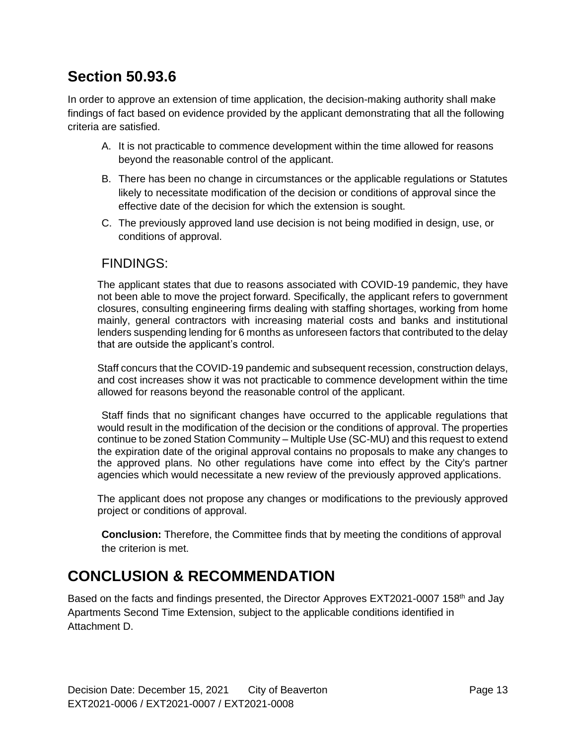## **Section 50.93.6**

In order to approve an extension of time application, the decision-making authority shall make findings of fact based on evidence provided by the applicant demonstrating that all the following criteria are satisfied.

- A. It is not practicable to commence development within the time allowed for reasons beyond the reasonable control of the applicant.
- B. There has been no change in circumstances or the applicable regulations or Statutes likely to necessitate modification of the decision or conditions of approval since the effective date of the decision for which the extension is sought.
- C. The previously approved land use decision is not being modified in design, use, or conditions of approval.

### FINDINGS:

The applicant states that due to reasons associated with COVID-19 pandemic, they have not been able to move the project forward. Specifically, the applicant refers to government closures, consulting engineering firms dealing with staffing shortages, working from home mainly, general contractors with increasing material costs and banks and institutional lenders suspending lending for 6 months as unforeseen factors that contributed to the delay that are outside the applicant's control.

Staff concurs that the COVID-19 pandemic and subsequent recession, construction delays, and cost increases show it was not practicable to commence development within the time allowed for reasons beyond the reasonable control of the applicant.

Staff finds that no significant changes have occurred to the applicable regulations that would result in the modification of the decision or the conditions of approval. The properties continue to be zoned Station Community – Multiple Use (SC-MU) and this request to extend the expiration date of the original approval contains no proposals to make any changes to the approved plans. No other regulations have come into effect by the City's partner agencies which would necessitate a new review of the previously approved applications.

The applicant does not propose any changes or modifications to the previously approved project or conditions of approval.

**Conclusion:** Therefore, the Committee finds that by meeting the conditions of approval the criterion is met.

### **CONCLUSION & RECOMMENDATION**

Based on the facts and findings presented, the Director Approves EXT2021-0007 158<sup>th</sup> and Jay Apartments Second Time Extension, subject to the applicable conditions identified in Attachment D.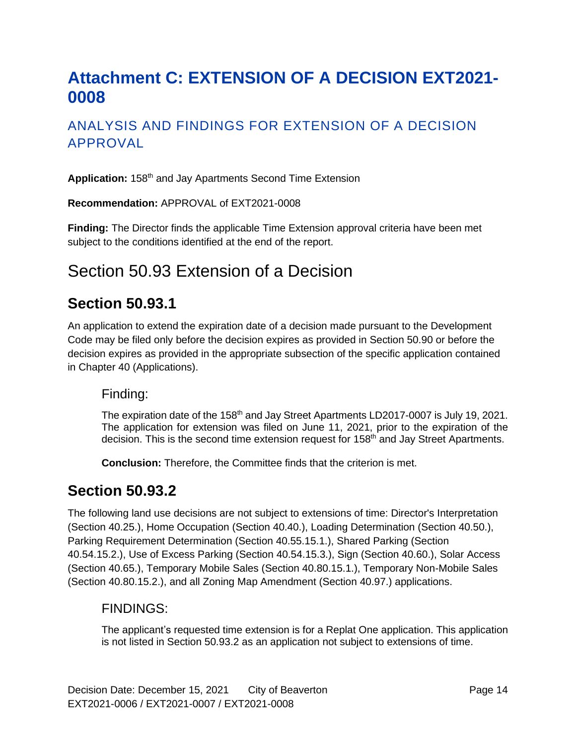# <span id="page-13-0"></span>**Attachment C: EXTENSION OF A DECISION EXT2021- 0008**

### ANALYSIS AND FINDINGS FOR EXTENSION OF A DECISION APPROVAL

**Application:** 158th and Jay Apartments Second Time Extension

**Recommendation:** APPROVAL of EXT2021-0008

**Finding:** The Director finds the applicable Time Extension approval criteria have been met subject to the conditions identified at the end of the report.

## Section 50.93 Extension of a Decision

### **Section 50.93.1**

An application to extend the expiration date of a decision made pursuant to the Development Code may be filed only before the decision expires as provided in Section 50.90 or before the decision expires as provided in the appropriate subsection of the specific application contained in Chapter 40 (Applications).

#### Finding:

The expiration date of the 158<sup>th</sup> and Jay Street Apartments LD2017-0007 is July 19, 2021. The application for extension was filed on June 11, 2021, prior to the expiration of the decision. This is the second time extension request for 158<sup>th</sup> and Jay Street Apartments.

**Conclusion:** Therefore, the Committee finds that the criterion is met.

### **Section 50.93.2**

The following land use decisions are not subject to extensions of time: Director's Interpretation (Section 40.25.), Home Occupation (Section 40.40.), Loading Determination (Section 40.50.), Parking Requirement Determination (Section 40.55.15.1.), Shared Parking (Section 40.54.15.2.), Use of Excess Parking (Section 40.54.15.3.), Sign (Section 40.60.), Solar Access (Section 40.65.), Temporary Mobile Sales (Section 40.80.15.1.), Temporary Non-Mobile Sales (Section 40.80.15.2.), and all Zoning Map Amendment (Section 40.97.) applications.

#### FINDINGS:

The applicant's requested time extension is for a Replat One application. This application is not listed in Section 50.93.2 as an application not subject to extensions of time.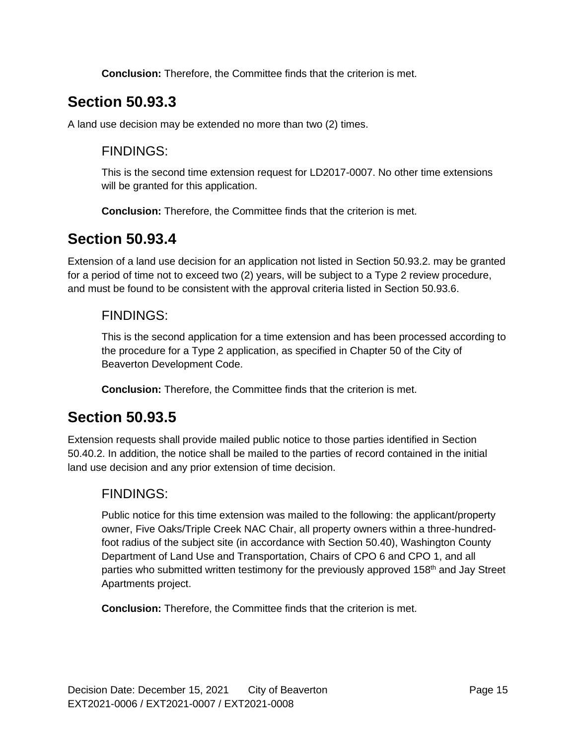**Conclusion:** Therefore, the Committee finds that the criterion is met.

## **Section 50.93.3**

A land use decision may be extended no more than two (2) times.

### FINDINGS:

This is the second time extension request for LD2017-0007. No other time extensions will be granted for this application.

**Conclusion:** Therefore, the Committee finds that the criterion is met.

## **Section 50.93.4**

Extension of a land use decision for an application not listed in Section 50.93.2. may be granted for a period of time not to exceed two (2) years, will be subject to a Type 2 review procedure, and must be found to be consistent with the approval criteria listed in Section 50.93.6.

### FINDINGS:

This is the second application for a time extension and has been processed according to the procedure for a Type 2 application, as specified in Chapter 50 of the City of Beaverton Development Code.

**Conclusion:** Therefore, the Committee finds that the criterion is met.

### **Section 50.93.5**

Extension requests shall provide mailed public notice to those parties identified in Section 50.40.2. In addition, the notice shall be mailed to the parties of record contained in the initial land use decision and any prior extension of time decision.

### FINDINGS:

Public notice for this time extension was mailed to the following: the applicant/property owner, Five Oaks/Triple Creek NAC Chair, all property owners within a three-hundredfoot radius of the subject site (in accordance with Section 50.40), Washington County Department of Land Use and Transportation, Chairs of CPO 6 and CPO 1, and all parties who submitted written testimony for the previously approved 158<sup>th</sup> and Jay Street Apartments project.

**Conclusion:** Therefore, the Committee finds that the criterion is met.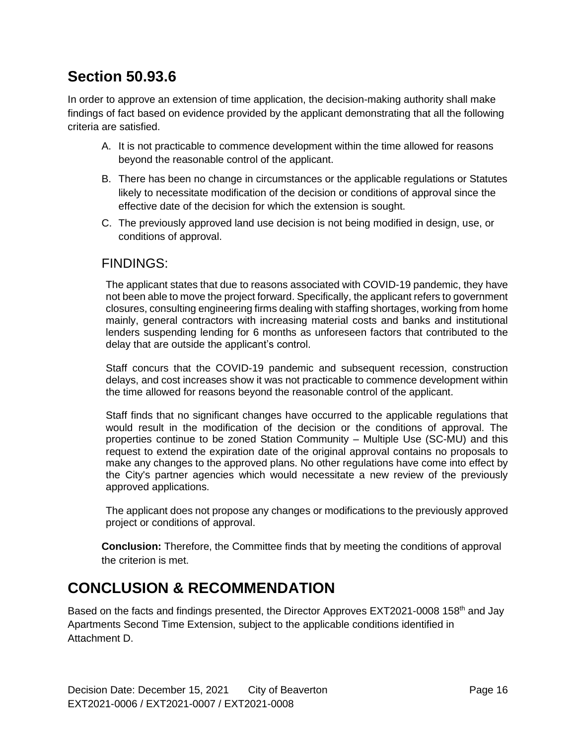## **Section 50.93.6**

In order to approve an extension of time application, the decision-making authority shall make findings of fact based on evidence provided by the applicant demonstrating that all the following criteria are satisfied.

- A. It is not practicable to commence development within the time allowed for reasons beyond the reasonable control of the applicant.
- B. There has been no change in circumstances or the applicable regulations or Statutes likely to necessitate modification of the decision or conditions of approval since the effective date of the decision for which the extension is sought.
- C. The previously approved land use decision is not being modified in design, use, or conditions of approval.

#### FINDINGS:

The applicant states that due to reasons associated with COVID-19 pandemic, they have not been able to move the project forward. Specifically, the applicant refers to government closures, consulting engineering firms dealing with staffing shortages, working from home mainly, general contractors with increasing material costs and banks and institutional lenders suspending lending for 6 months as unforeseen factors that contributed to the delay that are outside the applicant's control.

Staff concurs that the COVID-19 pandemic and subsequent recession, construction delays, and cost increases show it was not practicable to commence development within the time allowed for reasons beyond the reasonable control of the applicant.

Staff finds that no significant changes have occurred to the applicable regulations that would result in the modification of the decision or the conditions of approval. The properties continue to be zoned Station Community – Multiple Use (SC-MU) and this request to extend the expiration date of the original approval contains no proposals to make any changes to the approved plans. No other regulations have come into effect by the City's partner agencies which would necessitate a new review of the previously approved applications.

The applicant does not propose any changes or modifications to the previously approved project or conditions of approval.

**Conclusion:** Therefore, the Committee finds that by meeting the conditions of approval the criterion is met.

## **CONCLUSION & RECOMMENDATION**

Based on the facts and findings presented, the Director Approves EXT2021-0008 158<sup>th</sup> and Jay Apartments Second Time Extension, subject to the applicable conditions identified in Attachment D.